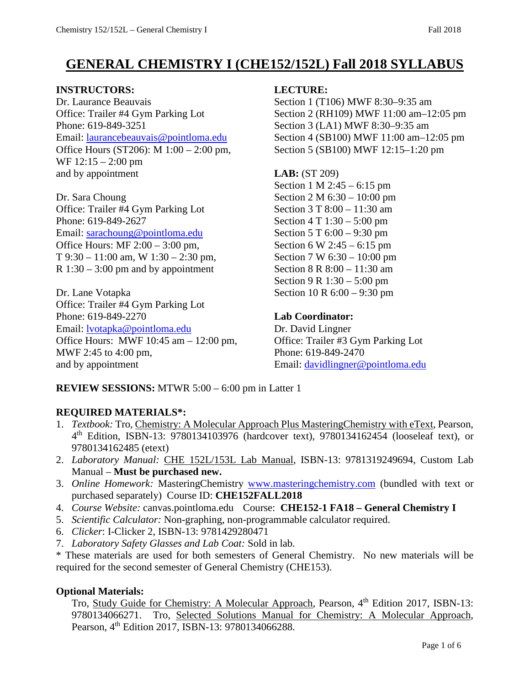# **GENERAL CHEMISTRY I (CHE152/152L) Fall 2018 SYLLABUS**

#### **INSTRUCTORS: LECTURE:**

Dr. Laurance Beauvais Section 1 (T106) MWF 8:30–9:35 am Phone: 619-849-3251<br>
Email: laurancebeauvais@pointloma.edu<br>
Section 4 (SB100) MWF 11:00 am-1 Office Hours (ST206): M 1:00 – 2:00 pm, Section 5 (SB100) MWF 12:15–1:20 pm WF 12:15 – 2:00 pm and by appointment **LAB:**  $(ST 209)$ 

Dr. Sara Choung Section 2 M  $6:30 - 10:00$  pm Office: Trailer #4 Gym Parking Lot Section 3 T 8:00 – 11:30 am Phone: 619-849-2627 Section 4 T 1:30 – 5:00 pm Email: [sarachoung@pointloma.edu](mailto:sarachoung@pointloma.edu) Section 5 T 6:00 – 9:30 pm Office Hours: MF  $2:00 - 3:00$  pm, Section 6 W  $2:45 - 6:15$  pm T 9:30 – 11:00 am, W 1:30 – 2:30 pm, Section 7 W 6:30 – 10:00 pm R  $1:30 - 3:00$  pm and by appointment Section 8 R  $8:00 - 11:30$  am

Dr. Lane Votapka Section 10 R 6:00 – 9:30 pm Office: Trailer #4 Gym Parking Lot Phone: 619-849-2270 **Lab Coordinator:** Email: [lvotapka@pointloma.edu](mailto:lvotapka@pointloma.edu) Dr. David Lingner Office Hours: MWF 10:45 am – 12:00 pm, Office: Trailer #3 Gym Parking Lot MWF 2:45 to 4:00 pm, Phone: 619-849-2470 and by appointment Email: [davidlingner@pointloma.edu](mailto:davidlingner@pointloma.edu)

Office: Trailer #4 Gym Parking Lot Section 2 (RH109) MWF 11:00 am–12:05 pm Section 4 (SB100) MWF  $11:00$  am–12:05 pm

Section 1 M 2:45 – 6:15 pm Section 9 R 1:30 – 5:00 pm

**REVIEW SESSIONS:** MTWR 5:00 – 6:00 pm in Latter 1

### **REQUIRED MATERIALS\*:**

- 1. *Textbook:* Tro, Chemistry: A Molecular Approach Plus MasteringChemistry with eText, Pearson, 4th Edition, ISBN-13: 9780134103976 (hardcover text), 9780134162454 (looseleaf text), or 9780134162485 (etext)
- 2. *Laboratory Manual:* CHE 152L/153L Lab Manual, ISBN-13: 9781319249694, Custom Lab Manual – **Must be purchased new.**
- 3. *Online Homework:* MasteringChemistry [www.masteringchemistry.com](http://www.masteringchemistry.com/) (bundled with text or purchased separately) Course ID: **CHE152FALL2018**
- 4. *Course Website:* canvas.pointloma.edu Course: **CHE152-1 FA18 – General Chemistry I**
- 5. *Scientific Calculator:* Non-graphing, non-programmable calculator required.
- 6. *Clicker*: I-Clicker 2, ISBN-13: 9781429280471
- 7. *Laboratory Safety Glasses and Lab Coat:* Sold in lab.

\* These materials are used for both semesters of General Chemistry. No new materials will be required for the second semester of General Chemistry (CHE153).

### **Optional Materials:**

Tro, Study Guide for Chemistry: A Molecular Approach, Pearson, 4<sup>th</sup> Edition 2017, ISBN-13: 9780134066271. Tro, Selected Solutions Manual for Chemistry: A Molecular Approach, Pearson, 4<sup>th</sup> Edition 2017, ISBN-13: 9780134066288.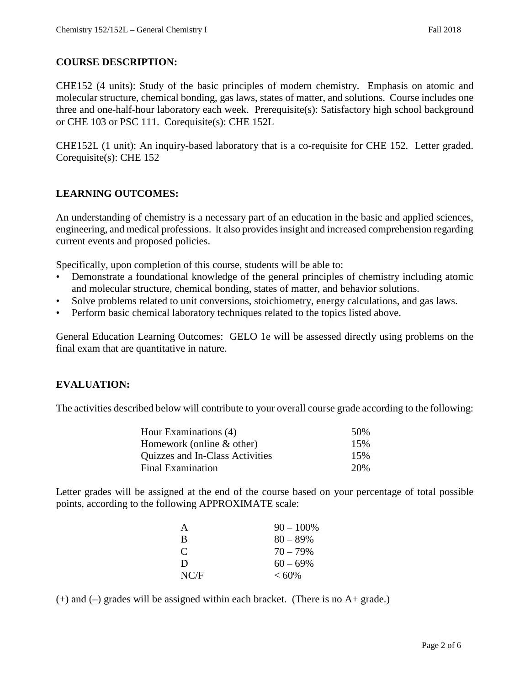### **COURSE DESCRIPTION:**

CHE152 (4 units): Study of the basic principles of modern chemistry. Emphasis on atomic and molecular structure, chemical bonding, gas laws, states of matter, and solutions. Course includes one three and one-half-hour laboratory each week. Prerequisite(s): Satisfactory high school background or CHE 103 or PSC 111. Corequisite(s): CHE 152L

CHE152L (1 unit): An inquiry-based laboratory that is a co-requisite for CHE 152. Letter graded. Corequisite(s): CHE 152

#### **LEARNING OUTCOMES:**

An understanding of chemistry is a necessary part of an education in the basic and applied sciences, engineering, and medical professions. It also provides insight and increased comprehension regarding current events and proposed policies.

Specifically, upon completion of this course, students will be able to:

- Demonstrate a foundational knowledge of the general principles of chemistry including atomic and molecular structure, chemical bonding, states of matter, and behavior solutions.
- Solve problems related to unit conversions, stoichiometry, energy calculations, and gas laws.
- Perform basic chemical laboratory techniques related to the topics listed above.

General Education Learning Outcomes: GELO 1e will be assessed directly using problems on the final exam that are quantitative in nature.

#### **EVALUATION:**

The activities described below will contribute to your overall course grade according to the following:

| Hour Examinations (4)           | 50\% |
|---------------------------------|------|
| Homework (online $&$ other)     | 15%  |
| Quizzes and In-Class Activities | 15%  |
| <b>Final Examination</b>        | 20%  |

Letter grades will be assigned at the end of the course based on your percentage of total possible points, according to the following APPROXIMATE scale:

| A    | $90 - 100\%$ |
|------|--------------|
| B    | $80 - 89\%$  |
| C    | $70 - 79\%$  |
| D    | $60 - 69\%$  |
| NC/F | $< 60\%$     |

(+) and (–) grades will be assigned within each bracket. (There is no A+ grade.)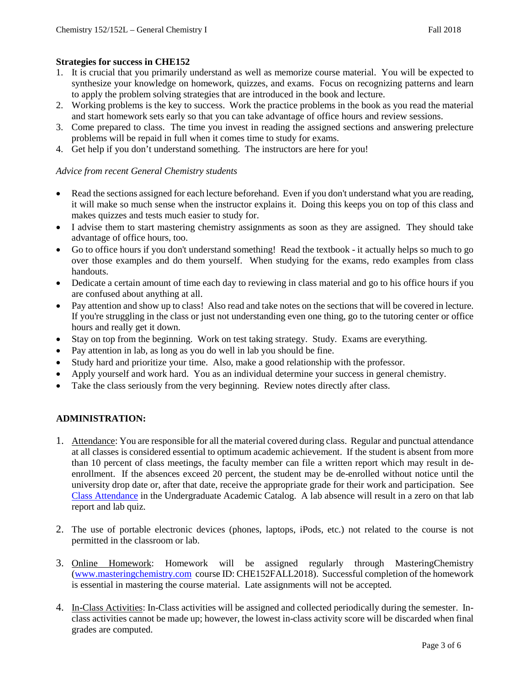#### **Strategies for success in CHE152**

- 1. It is crucial that you primarily understand as well as memorize course material. You will be expected to synthesize your knowledge on homework, quizzes, and exams. Focus on recognizing patterns and learn to apply the problem solving strategies that are introduced in the book and lecture.
- 2. Working problems is the key to success. Work the practice problems in the book as you read the material and start homework sets early so that you can take advantage of office hours and review sessions.
- 3. Come prepared to class. The time you invest in reading the assigned sections and answering prelecture problems will be repaid in full when it comes time to study for exams.
- 4. Get help if you don't understand something. The instructors are here for you!

#### *Advice from recent General Chemistry students*

- Read the sections assigned for each lecture beforehand. Even if you don't understand what you are reading, it will make so much sense when the instructor explains it. Doing this keeps you on top of this class and makes quizzes and tests much easier to study for.
- I advise them to start mastering chemistry assignments as soon as they are assigned. They should take advantage of office hours, too.
- Go to office hours if you don't understand something! Read the textbook it actually helps so much to go over those examples and do them yourself. When studying for the exams, redo examples from class handouts.
- Dedicate a certain amount of time each day to reviewing in class material and go to his office hours if you are confused about anything at all.
- Pay attention and show up to class! Also read and take notes on the sections that will be covered in lecture. If you're struggling in the class or just not understanding even one thing, go to the tutoring center or office hours and really get it down.
- Stay on top from the beginning. Work on test taking strategy. Study. Exams are everything.
- Pay attention in lab, as long as you do well in lab you should be fine.
- Study hard and prioritize your time. Also, make a good relationship with the professor.
- Apply yourself and work hard. You as an individual determine your success in general chemistry.
- Take the class seriously from the very beginning. Review notes directly after class.

#### **ADMINISTRATION:**

- 1. Attendance: You are responsible for all the material covered during class. Regular and punctual attendance at all classes is considered essential to optimum academic achievement. If the student is absent from more than 10 percent of class meetings, the faculty member can file a written report which may result in deenrollment. If the absences exceed 20 percent, the student may be de-enrolled without notice until the university drop date or, after that date, receive the appropriate grade for their work and participation. See [Class Attendance](https://catalog.pointloma.edu/content.php?catoid=35&navoid=2136#Class_Attendance) in the Undergraduate Academic Catalog. A lab absence will result in a zero on that lab report and lab quiz.
- 2. The use of portable electronic devices (phones, laptops, iPods, etc.) not related to the course is not permitted in the classroom or lab.
- 3. Online Homework: Homework will be assigned regularly through MasteringChemistry [\(www.masteringchemistry.com](http://www.masteringchemistry.com/) course ID: CHE152FALL2018). Successful completion of the homework is essential in mastering the course material. Late assignments will not be accepted.
- 4. In-Class Activities: In-Class activities will be assigned and collected periodically during the semester. Inclass activities cannot be made up; however, the lowest in-class activity score will be discarded when final grades are computed.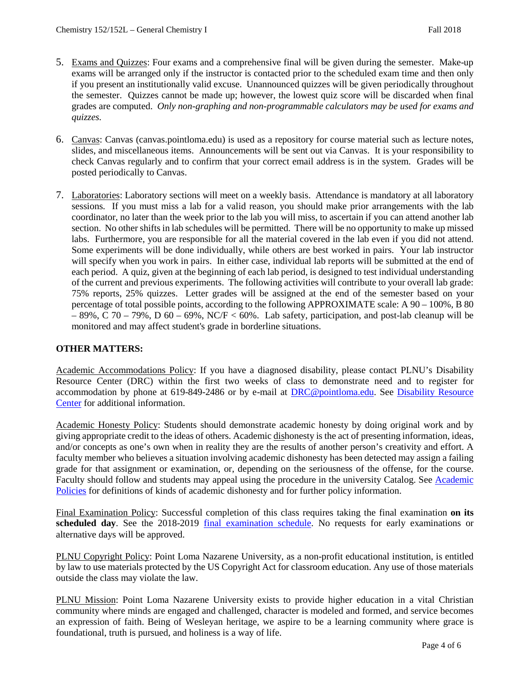- 5. Exams and Quizzes: Four exams and a comprehensive final will be given during the semester. Make-up exams will be arranged only if the instructor is contacted prior to the scheduled exam time and then only if you present an institutionally valid excuse. Unannounced quizzes will be given periodically throughout the semester. Quizzes cannot be made up; however, the lowest quiz score will be discarded when final grades are computed. *Only non-graphing and non-programmable calculators may be used for exams and quizzes.*
- 6. Canvas: Canvas (canvas.pointloma.edu) is used as a repository for course material such as lecture notes, slides, and miscellaneous items. Announcements will be sent out via Canvas. It is your responsibility to check Canvas regularly and to confirm that your correct email address is in the system. Grades will be posted periodically to Canvas.
- 7. Laboratories: Laboratory sections will meet on a weekly basis. Attendance is mandatory at all laboratory sessions. If you must miss a lab for a valid reason, you should make prior arrangements with the lab coordinator, no later than the week prior to the lab you will miss, to ascertain if you can attend another lab section. No other shifts in lab schedules will be permitted. There will be no opportunity to make up missed labs. Furthermore, you are responsible for all the material covered in the lab even if you did not attend. Some experiments will be done individually, while others are best worked in pairs. Your lab instructor will specify when you work in pairs. In either case, individual lab reports will be submitted at the end of each period. A quiz, given at the beginning of each lab period, is designed to test individual understanding of the current and previous experiments. The following activities will contribute to your overall lab grade: 75% reports, 25% quizzes. Letter grades will be assigned at the end of the semester based on your percentage of total possible points, according to the following APPROXIMATE scale: A 90 – 100%, B 80  $-89\%$ , C 70 – 79%, D 60 – 69%, NC/F < 60%. Lab safety, participation, and post-lab cleanup will be monitored and may affect student's grade in borderline situations.

#### **OTHER MATTERS:**

Academic Accommodations Policy: If you have a diagnosed disability, please contact PLNU's Disability Resource Center (DRC) within the first two weeks of class to demonstrate need and to register for accommodation by phone at 619-849-2486 or by e-mail at [DRC@pointloma.edu.](mailto:DRC@pointloma.edu) See Disability Resource [Center](http://www.pointloma.edu/experience/offices/administrative-offices/academic-advising-office/disability-resource-center) for additional information.

Academic Honesty Policy: Students should demonstrate academic honesty by doing original work and by giving appropriate credit to the ideas of others. Academic dishonesty is the act of presenting information, ideas, and/or concepts as one's own when in reality they are the results of another person's creativity and effort. A faculty member who believes a situation involving academic dishonesty has been detected may assign a failing grade for that assignment or examination, or, depending on the seriousness of the offense, for the course. Faculty should follow and students may appeal using the procedure in the university Catalog. See Academic [Policies](https://catalog.pointloma.edu/content.php?catoid=35&navoid=2136) for definitions of kinds of academic dishonesty and for further policy information.

Final Examination Policy: Successful completion of this class requires taking the final examination **on its**  scheduled day. See the 2018-2019 [final examination schedule.](https://drive.google.com/file/d/19qmj9RId5_4NaJOjmmIguVPiWomWNYOS/view) No requests for early examinations or alternative days will be approved.

PLNU Copyright Policy: Point Loma Nazarene University, as a non-profit educational institution, is entitled by law to use materials protected by the US Copyright Act for classroom education. Any use of those materials outside the class may violate the law.

PLNU Mission: Point Loma Nazarene University exists to provide higher education in a vital Christian community where minds are engaged and challenged, character is modeled and formed, and service becomes an expression of faith. Being of Wesleyan heritage, we aspire to be a learning community where grace is foundational, truth is pursued, and holiness is a way of life.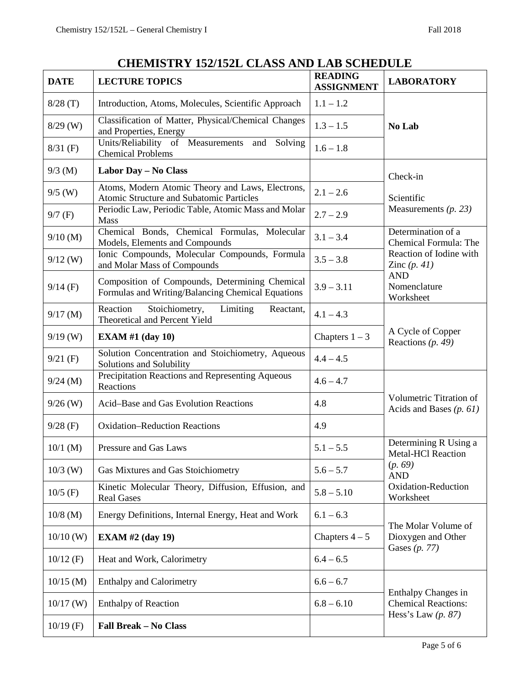## **CHEMISTRY 152/152L CLASS AND LAB SCHEDULE**

| <b>DATE</b> | <b>LECTURE TOPICS</b>                                                                               | <b>READING</b><br><b>ASSIGNMENT</b> | <b>LABORATORY</b>                                    |
|-------------|-----------------------------------------------------------------------------------------------------|-------------------------------------|------------------------------------------------------|
| 8/28(T)     | Introduction, Atoms, Molecules, Scientific Approach                                                 | $1.1 - 1.2$                         |                                                      |
| $8/29$ (W)  | Classification of Matter, Physical/Chemical Changes<br>and Properties, Energy                       | $1.3 - 1.5$                         | No Lab                                               |
| $8/31$ (F)  | Units/Reliability of Measurements and<br>Solving<br><b>Chemical Problems</b>                        | $1.6 - 1.8$                         |                                                      |
| $9/3$ (M)   | Labor Day - No Class                                                                                |                                     | Check-in                                             |
| $9/5$ (W)   | Atoms, Modern Atomic Theory and Laws, Electrons,<br>Atomic Structure and Subatomic Particles        | $2.1 - 2.6$                         | Scientific                                           |
| $9/7$ (F)   | Periodic Law, Periodic Table, Atomic Mass and Molar<br>Mass                                         | $2.7 - 2.9$                         | Measurements $(p. 23)$                               |
| $9/10$ (M)  | Chemical Bonds, Chemical Formulas, Molecular<br>Models, Elements and Compounds                      | $3.1 - 3.4$                         | Determination of a<br>Chemical Formula: The          |
| $9/12$ (W)  | Ionic Compounds, Molecular Compounds, Formula<br>and Molar Mass of Compounds                        | $3.5 - 3.8$                         | Reaction of Iodine with<br>Zinc $(p. 41)$            |
| $9/14$ (F)  | Composition of Compounds, Determining Chemical<br>Formulas and Writing/Balancing Chemical Equations | $3.9 - 3.11$                        | <b>AND</b><br>Nomenclature<br>Worksheet              |
| $9/17$ (M)  | Reaction<br>Stoichiometry,<br>Limiting<br>Reactant,<br>Theoretical and Percent Yield                | $4.1 - 4.3$                         | A Cycle of Copper<br>Reactions $(p. 49)$             |
| $9/19$ (W)  | <b>EXAM #1 (day 10)</b>                                                                             | Chapters $1 - 3$                    |                                                      |
| $9/21$ (F)  | Solution Concentration and Stoichiometry, Aqueous<br>Solutions and Solubility                       | $4.4 - 4.5$                         |                                                      |
| $9/24$ (M)  | Precipitation Reactions and Representing Aqueous<br>Reactions                                       | $4.6 - 4.7$                         | Volumetric Titration of<br>Acids and Bases $(p. 61)$ |
| $9/26$ (W)  | Acid-Base and Gas Evolution Reactions                                                               | 4.8                                 |                                                      |
| $9/28$ (F)  | <b>Oxidation–Reduction Reactions</b>                                                                | 4.9                                 |                                                      |
| $10/1$ (M)  | Pressure and Gas Laws                                                                               | $5.1 - 5.5$                         | Determining R Using a<br><b>Metal-HCl Reaction</b>   |
| $10/3$ (W)  | Gas Mixtures and Gas Stoichiometry                                                                  | $5.6 - 5.7$                         | (p. 69)<br><b>AND</b>                                |
| $10/5$ (F)  | Kinetic Molecular Theory, Diffusion, Effusion, and<br><b>Real Gases</b>                             | $5.8 - 5.10$                        | Oxidation-Reduction<br>Worksheet                     |
| $10/8$ (M)  | Energy Definitions, Internal Energy, Heat and Work                                                  | $6.1 - 6.3$                         |                                                      |
| $10/10$ (W) | <b>EXAM #2 (day 19)</b>                                                                             | Chapters $4-5$                      | The Molar Volume of<br>Dioxygen and Other            |
| $10/12$ (F) | Heat and Work, Calorimetry                                                                          | $6.4 - 6.5$                         | Gases $(p. 77)$                                      |
| $10/15$ (M) | <b>Enthalpy and Calorimetry</b>                                                                     | $6.6 - 6.7$                         | Enthalpy Changes in                                  |
| $10/17$ (W) | <b>Enthalpy of Reaction</b>                                                                         | $6.8 - 6.10$                        | <b>Chemical Reactions:</b><br>Hess's Law $(p. 87)$   |
| $10/19$ (F) | Fall Break - No Class                                                                               |                                     |                                                      |